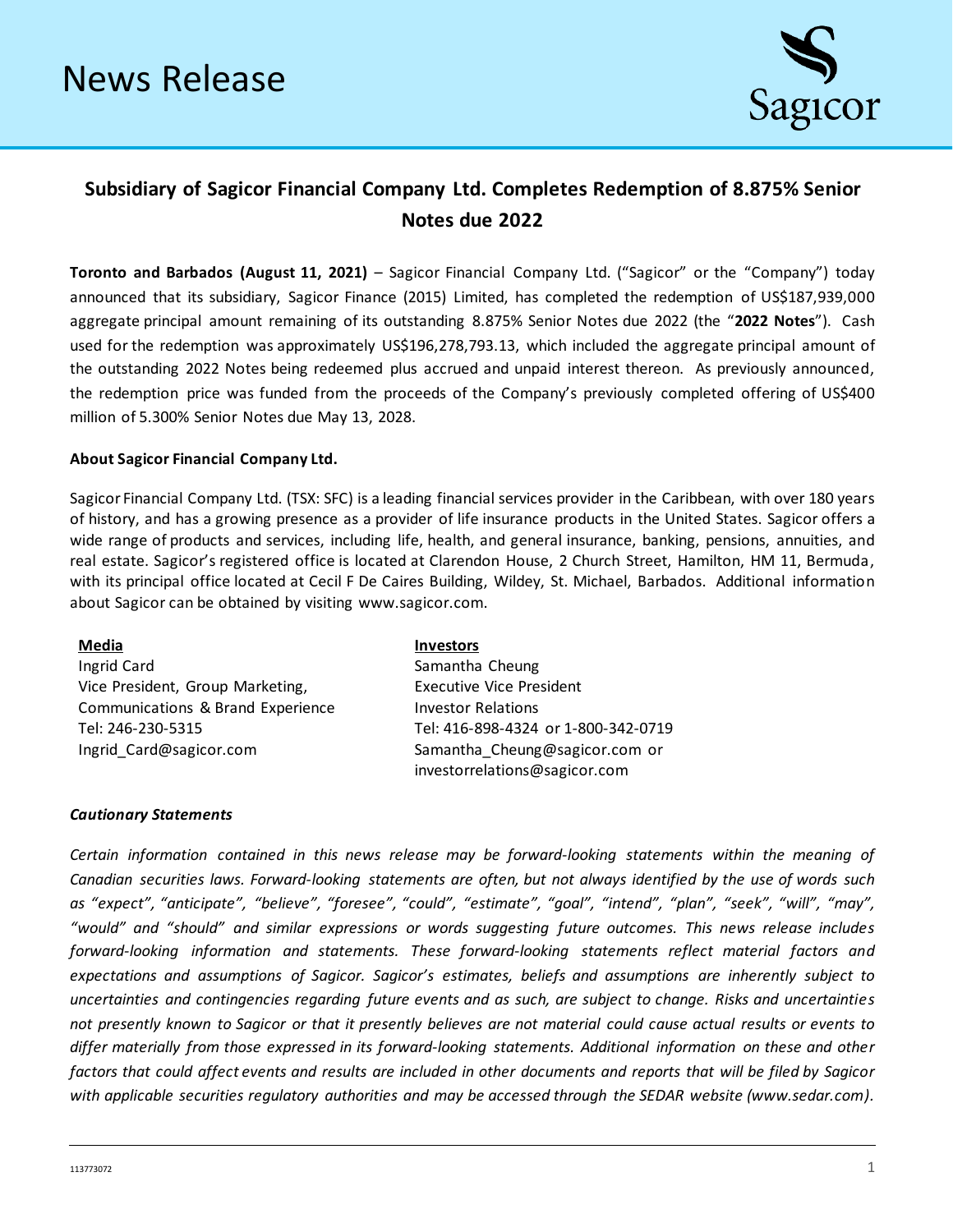

## **Subsidiary of Sagicor Financial Company Ltd. Completes Redemption of 8.875% Senior Notes due 2022**

**Toronto and Barbados (August 11, 2021)** – Sagicor Financial Company Ltd. ("Sagicor" or the "Company") today announced that its subsidiary, Sagicor Finance (2015) Limited, has completed the redemption of US\$187,939,000 aggregate principal amount remaining of its outstanding 8.875% Senior Notes due 2022 (the "**2022 Notes**"). Cash used for the redemption was approximately US\$196,278,793.13, which included the aggregate principal amount of the outstanding 2022 Notes being redeemed plus accrued and unpaid interest thereon. As previously announced, the redemption price was funded from the proceeds of the Company's previously completed offering of US\$400 million of 5.300% Senior Notes due May 13, 2028.

## **About Sagicor Financial Company Ltd.**

Sagicor Financial Company Ltd. (TSX: SFC) is a leading financial services provider in the Caribbean, with over 180 years of history, and has a growing presence as a provider of life insurance products in the United States. Sagicor offers a wide range of products and services, including life, health, and general insurance, banking, pensions, annuities, and real estate. Sagicor's registered office is located at Clarendon House, 2 Church Street, Hamilton, HM 11, Bermuda, with its principal office located at Cecil F De Caires Building, Wildey, St. Michael, Barbados. Additional information about Sagicor can be obtained by visiting [www.sagicor.com.](http://www.sagicor.com/)

| Media                             | <b>Investors</b>                    |
|-----------------------------------|-------------------------------------|
| Ingrid Card                       | Samantha Cheung                     |
| Vice President, Group Marketing,  | <b>Executive Vice President</b>     |
| Communications & Brand Experience | <b>Investor Relations</b>           |
| Tel: 246-230-5315                 | Tel: 416-898-4324 or 1-800-342-0719 |
| Ingrid Card@sagicor.com           | Samantha Cheung@sagicor.com or      |
|                                   | investorrelations@sagicor.com       |

## *Cautionary Statements*

*Certain information contained in this news release may be forward-looking statements within the meaning of Canadian securities laws. Forward-looking statements are often, but not always identified by the use of words such as "expect", "anticipate", "believe", "foresee", "could", "estimate", "goal", "intend", "plan", "seek", "will", "may", "would" and "should" and similar expressions or words suggesting future outcomes. This news release includes forward-looking information and statements. These forward-looking statements reflect material factors and expectations and assumptions of Sagicor. Sagicor's estimates, beliefs and assumptions are inherently subject to uncertainties and contingencies regarding future events and as such, are subject to change. Risks and uncertainties not presently known to Sagicor or that it presently believes are not material could cause actual results or events to differ materially from those expressed in its forward-looking statements. Additional information on these and other factors that could affect events and results are included in other documents and reports that will be filed by Sagicor*  with applicable securities regulatory authorities and may be accessed through the SEDAR website (www.sedar.com).